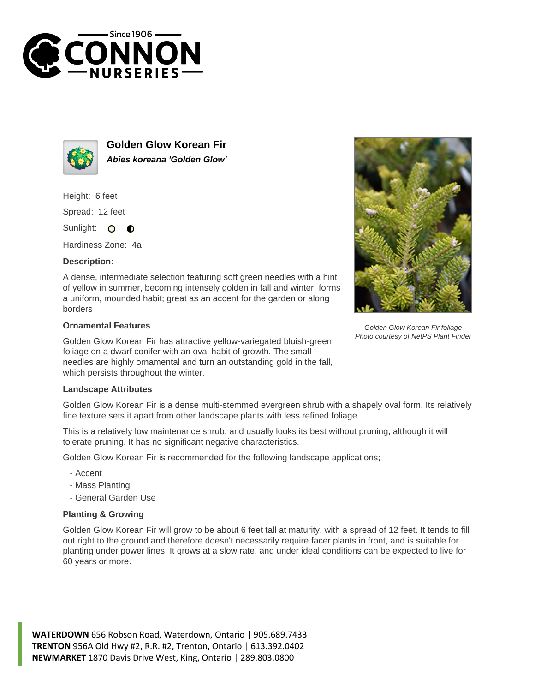



**Golden Glow Korean Fir Abies koreana 'Golden Glow'**

Height: 6 feet

Spread: 12 feet

Sunlight: O  $\bullet$ 

Hardiness Zone: 4a

## **Description:**

A dense, intermediate selection featuring soft green needles with a hint of yellow in summer, becoming intensely golden in fall and winter; forms a uniform, mounded habit; great as an accent for the garden or along borders

## **Ornamental Features**

Golden Glow Korean Fir has attractive yellow-variegated bluish-green foliage on a dwarf conifer with an oval habit of growth. The small needles are highly ornamental and turn an outstanding gold in the fall, which persists throughout the winter.



Golden Glow Korean Fir is a dense multi-stemmed evergreen shrub with a shapely oval form. Its relatively fine texture sets it apart from other landscape plants with less refined foliage.

This is a relatively low maintenance shrub, and usually looks its best without pruning, although it will tolerate pruning. It has no significant negative characteristics.

Golden Glow Korean Fir is recommended for the following landscape applications;

- Accent
- Mass Planting
- General Garden Use

## **Planting & Growing**

Golden Glow Korean Fir will grow to be about 6 feet tall at maturity, with a spread of 12 feet. It tends to fill out right to the ground and therefore doesn't necessarily require facer plants in front, and is suitable for planting under power lines. It grows at a slow rate, and under ideal conditions can be expected to live for 60 years or more.

**WATERDOWN** 656 Robson Road, Waterdown, Ontario | 905.689.7433 **TRENTON** 956A Old Hwy #2, R.R. #2, Trenton, Ontario | 613.392.0402 **NEWMARKET** 1870 Davis Drive West, King, Ontario | 289.803.0800



Golden Glow Korean Fir foliage Photo courtesy of NetPS Plant Finder